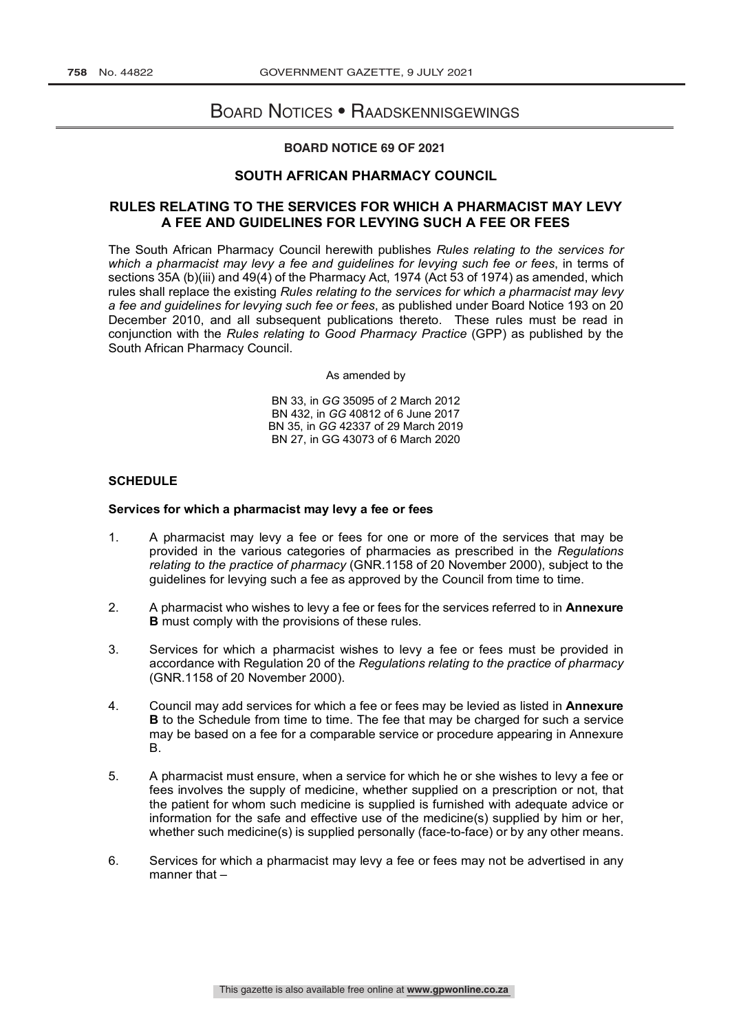# Board Notices • Raadskennisgewings

### **BOARD NOTICE 69 OF 2021**

# **SOUTH AFRICAN PHARMACY COUNCIL**

# **RULES RELATING TO THE SERVICES FOR WHICH A PHARMACIST MAY LEVY A FEE AND GUIDELINES FOR LEVYING SUCH A FEE OR FEES**

The South African Pharmacy Council herewith publishes *Rules relating to the services for which a pharmacist may levy a fee and guidelines for levying such fee or fees*, in terms of sections 35A (b)(iii) and 49(4) of the Pharmacy Act, 1974 (Act 53 of 1974) as amended, which rules shall replace the existing *Rules relating to the services for which a pharmacist may levy a fee and guidelines for levying such fee or fees*, as published under Board Notice 193 on 20 December 2010, and all subsequent publications thereto. These rules must be read in conjunction with the *Rules relating to Good Pharmacy Practice* (GPP) as published by the South African Pharmacy Council.

As amended by

BN 33, in *GG* 35095 of 2 March 2012 BN 432, in *GG* 40812 of 6 June 2017 BN 35, in *GG* 42337 of 29 March 2019 BN 27, in GG 43073 of 6 March 2020

### **SCHEDULE**

#### **Services for which a pharmacist may levy a fee or fees**

- 1. A pharmacist may levy a fee or fees for one or more of the services that may be provided in the various categories of pharmacies as prescribed in the *Regulations relating to the practice of pharmacy* (GNR.1158 of 20 November 2000), subject to the guidelines for levying such a fee as approved by the Council from time to time.
- 2. A pharmacist who wishes to levy a fee or fees for the services referred to in **Annexure B** must comply with the provisions of these rules.
- 3. Services for which a pharmacist wishes to levy a fee or fees must be provided in accordance with Regulation 20 of the *Regulations relating to the practice of pharmacy* (GNR.1158 of 20 November 2000).
- 4. Council may add services for which a fee or fees may be levied as listed in **Annexure B** to the Schedule from time to time. The fee that may be charged for such a service may be based on a fee for a comparable service or procedure appearing in Annexure B.
- 5. A pharmacist must ensure, when a service for which he or she wishes to levy a fee or fees involves the supply of medicine, whether supplied on a prescription or not, that the patient for whom such medicine is supplied is furnished with adequate advice or information for the safe and effective use of the medicine(s) supplied by him or her, whether such medicine(s) is supplied personally (face-to-face) or by any other means.
- 6. Services for which a pharmacist may levy a fee or fees may not be advertised in any manner that  $-$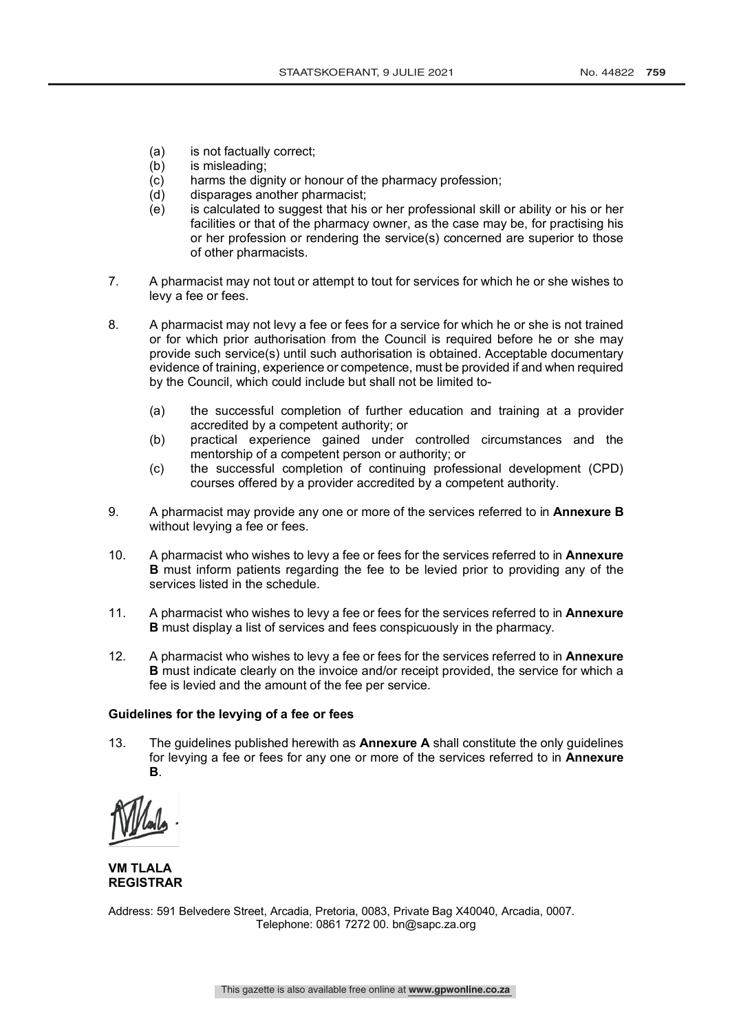- (a) is not factually correct;
- (b) is misleading;
- (c) harms the dignity or honour of the pharmacy profession;
- (d) disparages another pharmacist;
- (e) is calculated to suggest that his or her professional skill or ability or his or her facilities or that of the pharmacy owner, as the case may be, for practising his or her profession or rendering the service(s) concerned are superior to those of other pharmacists.
- 7. A pharmacist may not tout or attempt to tout for services for which he or she wishes to levy a fee or fees.
- 8. A pharmacist may not levy a fee or fees for a service for which he or she is not trained or for which prior authorisation from the Council is required before he or she may provide such service(s) until such authorisation is obtained. Acceptable documentary evidence of training, experience or competence, must be provided if and when required by the Council, which could include but shall not be limited to-
	- (a) the successful completion of further education and training at a provider accredited by a competent authority; or
	- (b) practical experience gained under controlled circumstances and the mentorship of a competent person or authority; or
	- (c) the successful completion of continuing professional development (CPD) courses offered by a provider accredited by a competent authority.
- 9. A pharmacist may provide any one or more of the services referred to in **Annexure B** without levying a fee or fees.
- 10. A pharmacist who wishes to levy a fee or fees for the services referred to in **Annexure B** must inform patients regarding the fee to be levied prior to providing any of the services listed in the schedule.
- 11. A pharmacist who wishes to levy a fee or fees for the services referred to in **Annexure B** must display a list of services and fees conspicuously in the pharmacy.
- 12. A pharmacist who wishes to levy a fee or fees for the services referred to in **Annexure B** must indicate clearly on the invoice and/or receipt provided, the service for which a fee is levied and the amount of the fee per service.

#### **Guidelines for the levying of a fee or fees**

13. The guidelines published herewith as **Annexure A** shall constitute the only guidelines for levying a fee or fees for any one or more of the services referred to in **Annexure B**.

**VM TLALA REGISTRAR**

Address: 591 Belvedere Street, Arcadia, Pretoria, 0083, Private Bag X40040, Arcadia, 0007. Telephone: 0861 7272 00. bn@sapc.za.org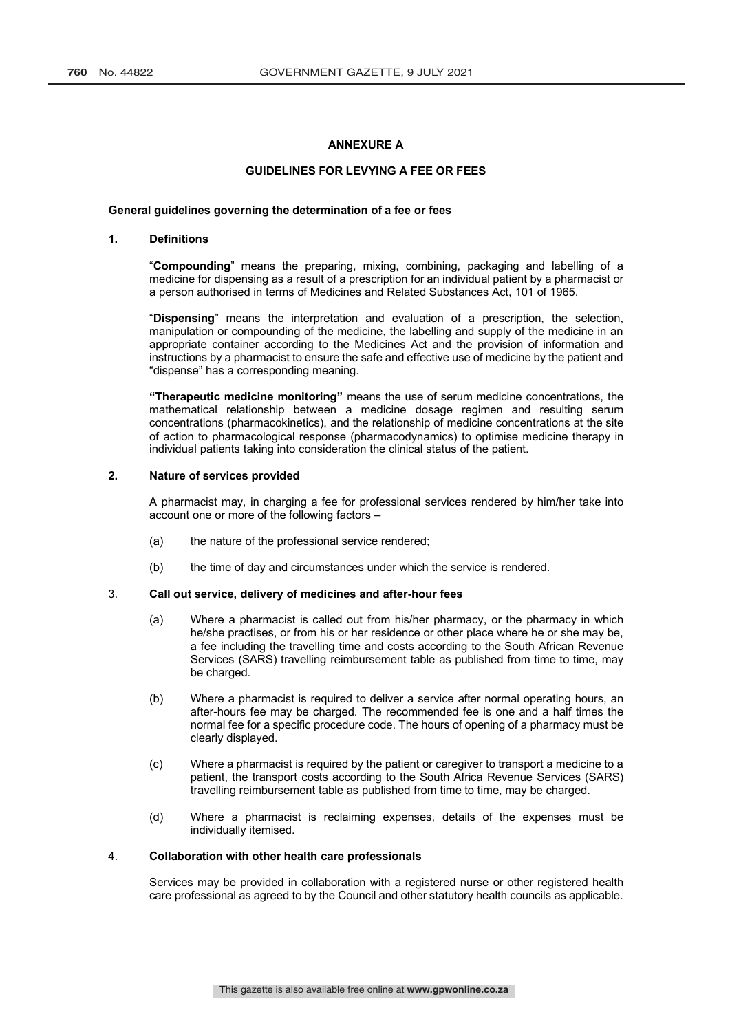### **ANNEXURE A**

#### **GUIDELINES FOR LEVYING A FEE OR FEES**

#### **General guidelines governing the determination of a fee or fees**

#### **1. Definitions**

"**Compounding**" means the preparing, mixing, combining, packaging and labelling of a medicine for dispensing as a result of a prescription for an individual patient by a pharmacist or a person authorised in terms of Medicines and Related Substances Act, 101 of 1965.

"**Dispensing**" means the interpretation and evaluation of a prescription, the selection, manipulation or compounding of the medicine, the labelling and supply of the medicine in an appropriate container according to the Medicines Act and the provision of information and instructions by a pharmacist to ensure the safe and effective use of medicine by the patient and "dispense" has a corresponding meaning.

**"Therapeutic medicine monitoring"** means the use of serum medicine concentrations, the mathematical relationship between a medicine dosage regimen and resulting serum concentrations (pharmacokinetics), and the relationship of medicine concentrations at the site of action to pharmacological response (pharmacodynamics) to optimise medicine therapy in individual patients taking into consideration the clinical status of the patient.

### **2. Nature of services provided**

A pharmacist may, in charging a fee for professional services rendered by him/her take into account one or more of the following factors –

- (a) the nature of the professional service rendered;
- (b) the time of day and circumstances under which the service is rendered.

#### 3. **Call out service, delivery of medicines and after-hour fees**

- (a) Where a pharmacist is called out from his/her pharmacy, or the pharmacy in which he/she practises, or from his or her residence or other place where he or she may be, a fee including the travelling time and costs according to the South African Revenue Services (SARS) travelling reimbursement table as published from time to time, may be charged.
- (b) Where a pharmacist is required to deliver a service after normal operating hours, an after-hours fee may be charged. The recommended fee is one and a half times the normal fee for a specific procedure code. The hours of opening of a pharmacy must be clearly displayed.
- (c) Where a pharmacist is required by the patient or caregiver to transport a medicine to a patient, the transport costs according to the South Africa Revenue Services (SARS) travelling reimbursement table as published from time to time, may be charged.
- (d) Where a pharmacist is reclaiming expenses, details of the expenses must be individually itemised.

#### 4. **Collaboration with other health care professionals**

Services may be provided in collaboration with a registered nurse or other registered health care professional as agreed to by the Council and other statutory health councils as applicable.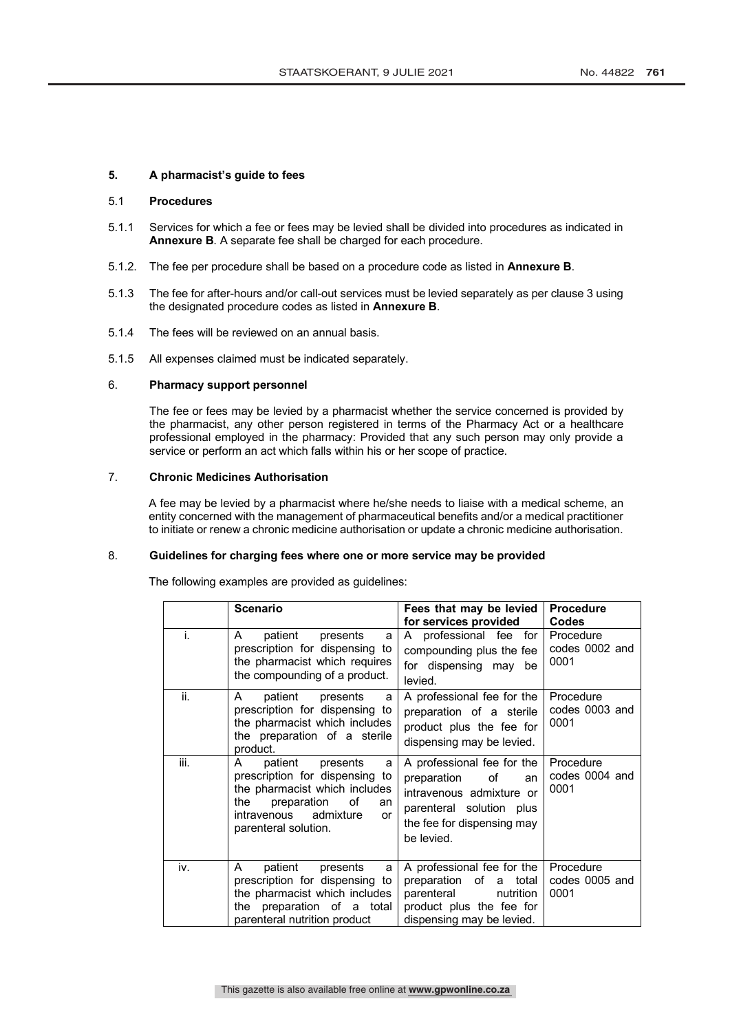#### **5. A pharmacist's guide to fees**

#### 5.1 **Procedures**

- 5.1.1 Services for which a fee or fees may be levied shall be divided into procedures as indicated in **Annexure B**. A separate fee shall be charged for each procedure.
- 5.1.2. The fee per procedure shall be based on a procedure code as listed in **Annexure B**.
- 5.1.3 The fee for after-hours and/or call-out services must be levied separately as per clause 3 using the designated procedure codes as listed in **Annexure B**.
- 5.1.4 The fees will be reviewed on an annual basis.
- 5.1.5 All expenses claimed must be indicated separately.

#### 6. **Pharmacy support personnel**

The fee or fees may be levied by a pharmacist whether the service concerned is provided by the pharmacist, any other person registered in terms of the Pharmacy Act or a healthcare professional employed in the pharmacy: Provided that any such person may only provide a service or perform an act which falls within his or her scope of practice.

# 7. **Chronic Medicines Authorisation**

A fee may be levied by a pharmacist where he/she needs to liaise with a medical scheme, an entity concerned with the management of pharmaceutical benefits and/or a medical practitioner to initiate or renew a chronic medicine authorisation or update a chronic medicine authorisation.

# 8. **Guidelines for charging fees where one or more service may be provided**

The following examples are provided as guidelines:

|      | <b>Scenario</b>                                                                                                                                                                                     | Fees that may be levied<br>for services provided                                                                                                          | <b>Procedure</b><br><b>Codes</b>    |  |
|------|-----------------------------------------------------------------------------------------------------------------------------------------------------------------------------------------------------|-----------------------------------------------------------------------------------------------------------------------------------------------------------|-------------------------------------|--|
| i.   | patient<br>presents<br>A<br>a<br>prescription for dispensing to<br>the pharmacist which requires<br>the compounding of a product.                                                                   | professional fee for<br>A<br>compounding plus the fee<br>for dispensing may be<br>levied.                                                                 | Procedure<br>codes 0002 and<br>0001 |  |
| ii.  | patient presents<br>A<br>a<br>prescription for dispensing to<br>the pharmacist which includes<br>the preparation of a sterile<br>product.                                                           | A professional fee for the<br>preparation of a sterile<br>product plus the fee for<br>dispensing may be levied.                                           | Procedure<br>codes 0003 and<br>0001 |  |
| iii. | patient<br>A<br>presents<br>a<br>prescription for dispensing to<br>the pharmacist which includes<br>the<br>preparation<br>Ωf<br>an<br>admixture<br>intravenous<br><b>or</b><br>parenteral solution. | A professional fee for the<br>preparation<br>οf<br>an<br>intravenous admixture or<br>parenteral solution plus<br>the fee for dispensing may<br>be levied. | Procedure<br>codes 0004 and<br>0001 |  |
| iv.  | A<br>patient<br>presents<br>a<br>prescription for dispensing to<br>the pharmacist which includes<br>the preparation of a total<br>parenteral nutrition product                                      | A professional fee for the<br>preparation of a<br>total<br>nutrition<br>parenteral<br>product plus the fee for<br>dispensing may be levied.               | Procedure<br>codes 0005 and<br>0001 |  |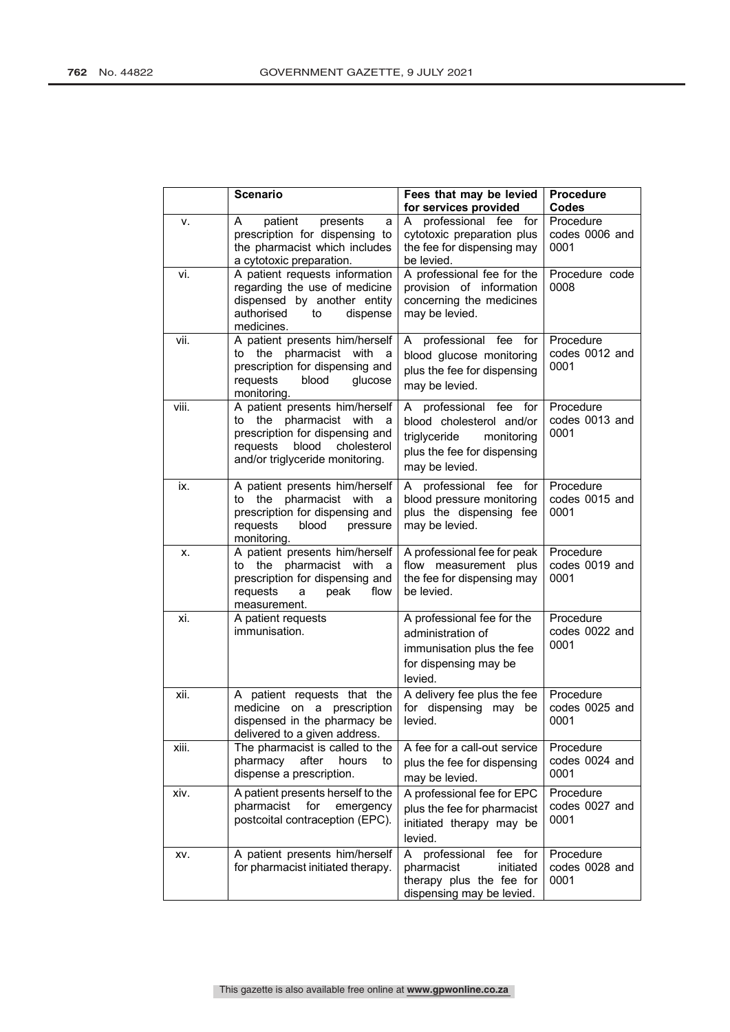|       | <b>Scenario</b>                                                                                                                                                         | Fees that may be levied<br>for services provided                                                                                     | Procedure<br>Codes                  |  |  |
|-------|-------------------------------------------------------------------------------------------------------------------------------------------------------------------------|--------------------------------------------------------------------------------------------------------------------------------------|-------------------------------------|--|--|
| ۷.    | patient<br>Α<br>presents<br>a<br>prescription for dispensing to<br>the pharmacist which includes<br>a cytotoxic preparation.                                            | professional fee<br>for<br>A<br>cytotoxic preparation plus<br>the fee for dispensing may<br>be levied.                               | Procedure<br>codes 0006 and<br>0001 |  |  |
| vi.   | A patient requests information<br>regarding the use of medicine<br>dispensed by another entity<br>authorised<br>dispense<br>to<br>medicines.                            | A professional fee for the<br>provision of information<br>concerning the medicines<br>may be levied.                                 | Procedure code<br>0008              |  |  |
| vii.  | A patient presents him/herself<br>to the pharmacist with a<br>prescription for dispensing and<br>requests<br>blood<br>glucose<br>monitoring.                            | A professional fee for<br>blood glucose monitoring<br>plus the fee for dispensing<br>may be levied.                                  | Procedure<br>codes 0012 and<br>0001 |  |  |
| viii. | A patient presents him/herself<br>to the pharmacist with<br>a<br>prescription for dispensing and<br>requests<br>blood<br>cholesterol<br>and/or triglyceride monitoring. | professional fee for<br>A<br>blood cholesterol and/or<br>triglyceride<br>monitoring<br>plus the fee for dispensing<br>may be levied. | Procedure<br>codes 0013 and<br>0001 |  |  |
| ix.   | A patient presents him/herself<br>pharmacist with<br>to the<br>a<br>prescription for dispensing and<br>requests<br>blood<br>pressure<br>monitoring.                     | professional<br>fee<br>for<br>A<br>blood pressure monitoring<br>plus the dispensing fee<br>may be levied.                            | Procedure<br>codes 0015 and<br>0001 |  |  |
| х.    | A patient presents him/herself<br>to the pharmacist with<br>a<br>prescription for dispensing and<br>peak<br>requests<br>flow<br>a<br>measurement.                       | A professional fee for peak<br>flow measurement plus<br>the fee for dispensing may<br>be levied.                                     | Procedure<br>codes 0019 and<br>0001 |  |  |
| xi.   | A patient requests<br>immunisation.                                                                                                                                     | A professional fee for the<br>administration of<br>immunisation plus the fee<br>for dispensing may be<br>levied.                     | Procedure<br>codes 0022 and<br>0001 |  |  |
| xii.  | A patient requests that the<br>medicine on a prescription<br>dispensed in the pharmacy be<br>delivered to a given address.                                              | A delivery fee plus the fee<br>for dispensing may be<br>levied.                                                                      | Procedure<br>codes 0025 and<br>0001 |  |  |
| xiii. | The pharmacist is called to the<br>pharmacy<br>after<br>hours<br>to<br>dispense a prescription.                                                                         | A fee for a call-out service<br>plus the fee for dispensing<br>may be levied.                                                        | Procedure<br>codes 0024 and<br>0001 |  |  |
| xiv.  | A patient presents herself to the<br>pharmacist<br>for<br>emergency<br>postcoital contraception (EPC).                                                                  | A professional fee for EPC<br>plus the fee for pharmacist<br>initiated therapy may be<br>levied.                                     | Procedure<br>codes 0027 and<br>0001 |  |  |
| XV.   | A patient presents him/herself<br>for pharmacist initiated therapy.                                                                                                     | professional<br>A<br>fee for<br>initiated<br>pharmacist<br>therapy plus the fee for<br>dispensing may be levied.                     | Procedure<br>codes 0028 and<br>0001 |  |  |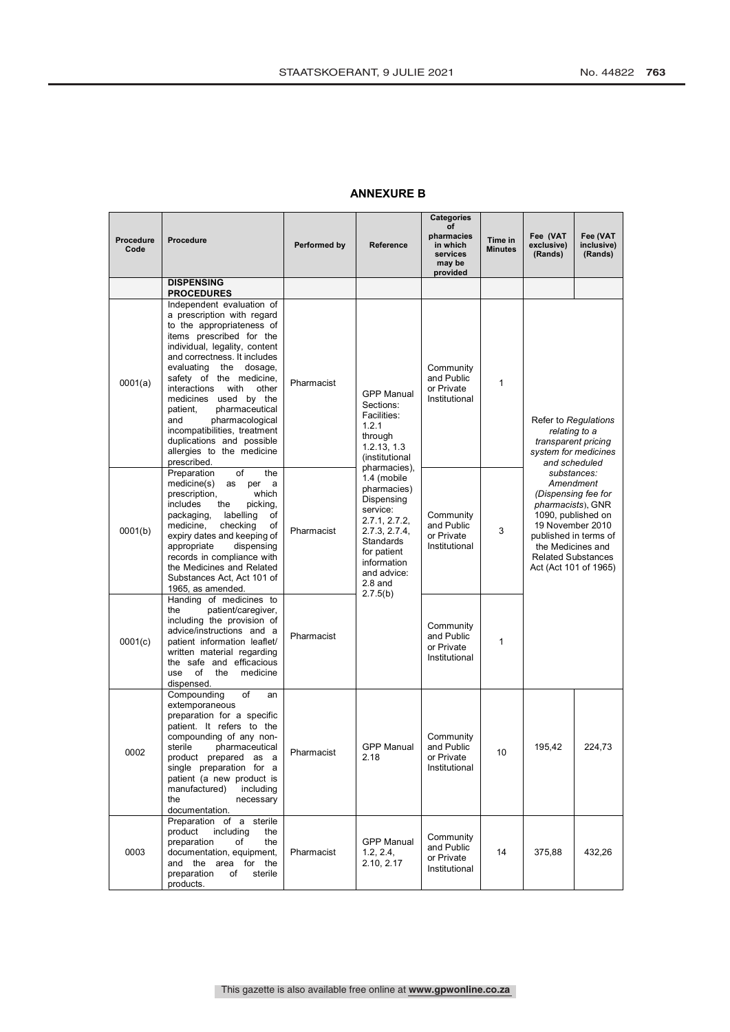# **ANNEXURE B**

| Procedure<br>Code | <b>Procedure</b>                                                                                                                                                                                                                                                                                                                                                                                                                                                     | Performed by | Reference                                                                                                                                                                                 | <b>Categories</b><br>of<br>pharmacies<br>in which<br>services<br>may be<br>provided | Time in<br><b>Minutes</b> | Fee (VAT<br>exclusive)<br>(Rands)                                                                                                                                                                                  | Fee (VAT<br>inclusive)<br>(Rands) |
|-------------------|----------------------------------------------------------------------------------------------------------------------------------------------------------------------------------------------------------------------------------------------------------------------------------------------------------------------------------------------------------------------------------------------------------------------------------------------------------------------|--------------|-------------------------------------------------------------------------------------------------------------------------------------------------------------------------------------------|-------------------------------------------------------------------------------------|---------------------------|--------------------------------------------------------------------------------------------------------------------------------------------------------------------------------------------------------------------|-----------------------------------|
|                   | <b>DISPENSING</b><br><b>PROCEDURES</b>                                                                                                                                                                                                                                                                                                                                                                                                                               |              |                                                                                                                                                                                           |                                                                                     |                           |                                                                                                                                                                                                                    |                                   |
| 0001(a)           | Independent evaluation of<br>a prescription with regard<br>to the appropriateness of<br>items prescribed for the<br>individual, legality, content<br>and correctness. It includes<br>evaluating<br>the dosage,<br>safety of the medicine,<br>interactions<br>with<br>other<br>medicines used by the<br>patient,<br>pharmaceutical<br>pharmacological<br>and<br>incompatibilities, treatment<br>duplications and possible<br>allergies to the medicine<br>prescribed. | Pharmacist   | <b>GPP Manual</b><br>Sections:<br>Facilities:<br>1.2.1<br>through<br>1.2.13, 1.3<br><i>(institutional)</i>                                                                                | Community<br>and Public<br>or Private<br>Institutional                              | 1                         | Refer to Regulations<br>relating to a<br>transparent pricing<br>system for medicines<br>and scheduled                                                                                                              |                                   |
| 0001(b)           | Preparation<br>of<br>the<br>medicine(s)<br>as<br>per<br>a<br>prescription,<br>which<br>includes<br>picking,<br>the<br>packaging,<br>labelling<br>οf<br>medicine,<br>checking<br>οf<br>expiry dates and keeping of<br>appropriate<br>dispensing<br>records in compliance with<br>the Medicines and Related<br>Substances Act, Act 101 of<br>1965, as amended.                                                                                                         | Pharmacist   | pharmacies),<br>1.4 (mobile<br>pharmacies)<br>Dispensing<br>service:<br>2.7.1, 2.7.2,<br>2.7.3, 2.7.4,<br>Standards<br>for patient<br>information<br>and advice:<br>$2.8$ and<br>2.7.5(b) | Community<br>and Public<br>or Private<br>Institutional                              | 3                         | substances:<br>Amendment<br>(Dispensing fee for<br>pharmacists), GNR<br>1090, published on<br>19 November 2010<br>published in terms of<br>the Medicines and<br><b>Related Substances</b><br>Act (Act 101 of 1965) |                                   |
| 0001(c)           | Handing of medicines to<br>the<br>patient/caregiver,<br>including the provision of<br>advice/instructions and a<br>patient information leaflet/<br>written material regarding<br>the safe and efficacious<br>medicine<br>use<br>οf<br>the<br>dispensed.                                                                                                                                                                                                              | Pharmacist   |                                                                                                                                                                                           | Community<br>and Public<br>or Private<br>Institutional                              | 1                         |                                                                                                                                                                                                                    |                                   |
| 0002              | of<br>Compounding<br>an<br>extemporaneous<br>preparation for a specific<br>patient. It refers to the<br>compounding of any non-<br>pharmaceutical<br>sterile<br>product prepared as a<br>single preparation for a<br>patient (a new product is<br>manufactured)<br>including<br>the<br>necessary<br>documentation.                                                                                                                                                   | Pharmacist   | <b>GPP Manual</b><br>2.18                                                                                                                                                                 | Community<br>and Public<br>or Private<br>Institutional                              | 10                        | 195,42                                                                                                                                                                                                             | 224,73                            |
| 0003              | Preparation of a sterile<br>product<br>including<br>the<br>preparation<br>of<br>the<br>documentation, equipment,<br>and the area for the<br>preparation<br>of<br>sterile<br>products.                                                                                                                                                                                                                                                                                | Pharmacist   | <b>GPP Manual</b><br>1.2, 2.4,<br>2.10, 2.17                                                                                                                                              | Community<br>and Public<br>or Private<br>Institutional                              | 14                        | 375,88                                                                                                                                                                                                             | 432,26                            |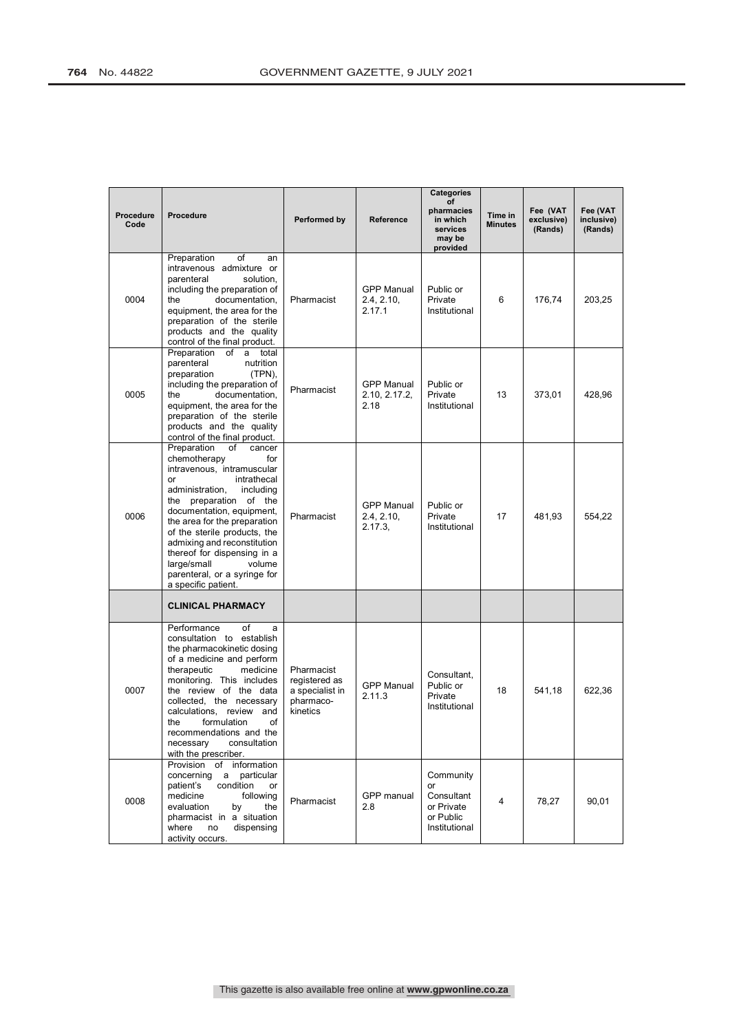| Procedure<br>Code | Procedure<br>Preparation<br>of<br>an<br>intravenous admixture or<br>parenteral<br>solution.                                                                                                                                                                                                                                                                                                                | Performed by                                                            | Reference                                  | <b>Categories</b><br>of<br>pharmacies<br>in which<br>services<br>may be<br>provided | Time in<br><b>Minutes</b> | Fee (VAT<br>exclusive)<br>(Rands) | Fee (VAT<br>inclusive)<br>(Rands) |
|-------------------|------------------------------------------------------------------------------------------------------------------------------------------------------------------------------------------------------------------------------------------------------------------------------------------------------------------------------------------------------------------------------------------------------------|-------------------------------------------------------------------------|--------------------------------------------|-------------------------------------------------------------------------------------|---------------------------|-----------------------------------|-----------------------------------|
| 0004              | including the preparation of<br>documentation,<br>the<br>equipment, the area for the<br>preparation of the sterile<br>products and the quality<br>control of the final product.                                                                                                                                                                                                                            | Pharmacist                                                              | <b>GPP Manual</b><br>2.4, 2.10,<br>2.17.1  | Public or<br>Private<br>Institutional                                               | 6                         | 176,74                            | 203,25                            |
| 0005              | Preparation<br>of a<br>total<br>parenteral<br>nutrition<br>preparation<br>(TPN)<br>including the preparation of<br>documentation,<br>the<br>equipment, the area for the<br>preparation of the sterile<br>products and the quality<br>control of the final product.                                                                                                                                         | Pharmacist                                                              | <b>GPP Manual</b><br>2.10, 2.17.2,<br>2.18 | Public or<br>Private<br>Institutional                                               | 13                        | 373,01                            | 428,96                            |
| 0006              | Preparation<br>οf<br>cancer<br>chemotherapy<br>for<br>intravenous, intramuscular<br>intrathecal<br>or<br>administration,<br>including<br>the preparation of the<br>documentation, equipment,<br>the area for the preparation<br>of the sterile products, the<br>admixing and reconstitution<br>thereof for dispensing in a<br>large/small<br>volume<br>parenteral, or a syringe for<br>a specific patient. | Pharmacist                                                              | <b>GPP Manual</b><br>2.4, 2.10,<br>2.17.3  | Public or<br>Private<br>Institutional                                               | 17                        | 481,93                            | 554,22                            |
|                   | <b>CLINICAL PHARMACY</b>                                                                                                                                                                                                                                                                                                                                                                                   |                                                                         |                                            |                                                                                     |                           |                                   |                                   |
| 0007              | of<br>Performance<br>a<br>consultation to establish<br>the pharmacokinetic dosing<br>of a medicine and perform<br>therapeutic<br>medicine<br>monitoring. This includes<br>the review of the data<br>collected, the necessary<br>calculations, review and<br>formulation<br>the<br>οf<br>recommendations and the<br>necessary<br>consultation<br>with the prescriber.                                       | Pharmacist<br>registered as<br>a specialist in<br>pharmaco-<br>kinetics | <b>GPP Manual</b><br>2.11.3                | Consultant,<br>Public or<br>Private<br>Institutional                                | 18                        | 541,18                            | 622.36                            |
| 0008              | Provision<br>of information<br>concerning<br>particular<br>a<br>patient's<br>condition<br>or<br>medicine<br>following<br>evaluation<br>by<br>the<br>pharmacist in a situation<br>where<br>no<br>dispensing<br>activity occurs.                                                                                                                                                                             | Pharmacist                                                              | GPP manual<br>2.8                          | Community<br>or<br>Consultant<br>or Private<br>or Public<br>Institutional           | 4                         | 78,27                             | 90,01                             |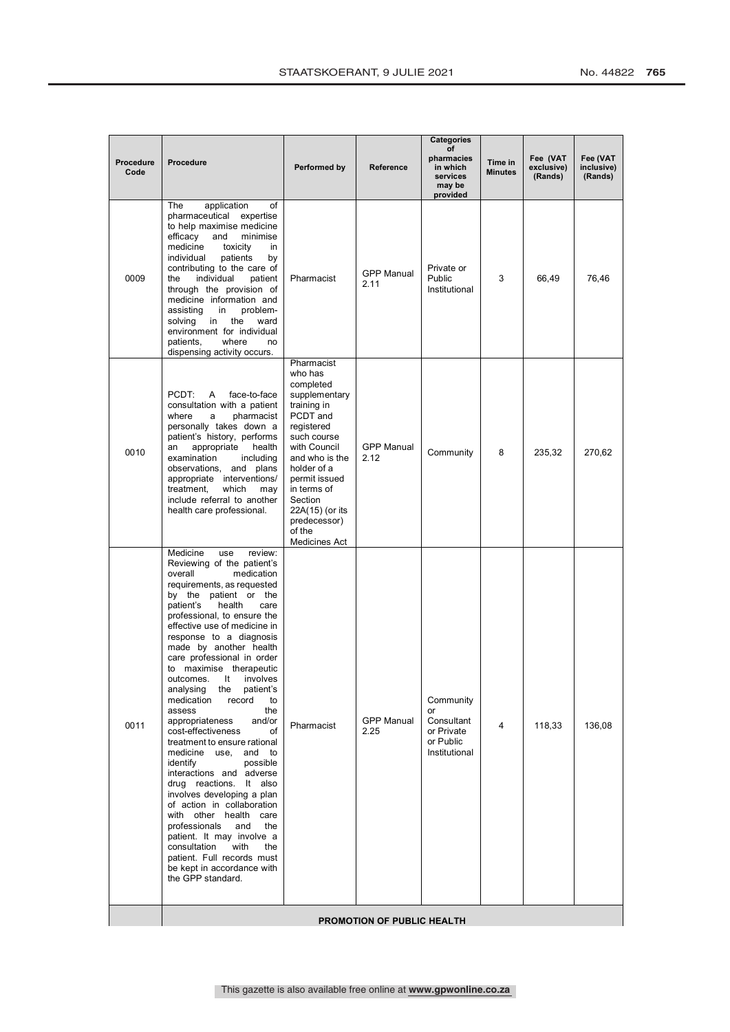|                   |                                                                                                                                                                                                                                                                                                                                                                                                                                                                                                                                                                                                                                                                                                                                                                                                                                                                                                                                       |                                                                                                                                                                                                                                                                       |                           | <b>Categories</b>                                                         |                           |                                   |                                   |  |
|-------------------|---------------------------------------------------------------------------------------------------------------------------------------------------------------------------------------------------------------------------------------------------------------------------------------------------------------------------------------------------------------------------------------------------------------------------------------------------------------------------------------------------------------------------------------------------------------------------------------------------------------------------------------------------------------------------------------------------------------------------------------------------------------------------------------------------------------------------------------------------------------------------------------------------------------------------------------|-----------------------------------------------------------------------------------------------------------------------------------------------------------------------------------------------------------------------------------------------------------------------|---------------------------|---------------------------------------------------------------------------|---------------------------|-----------------------------------|-----------------------------------|--|
| Procedure<br>Code | Procedure                                                                                                                                                                                                                                                                                                                                                                                                                                                                                                                                                                                                                                                                                                                                                                                                                                                                                                                             | Performed by                                                                                                                                                                                                                                                          | Reference                 | οf<br>pharmacies<br>in which<br>services<br>may be<br>provided            | Time in<br><b>Minutes</b> | Fee (VAT<br>exclusive)<br>(Rands) | Fee (VAT<br>inclusive)<br>(Rands) |  |
| 0009              | The<br>application<br>of<br>pharmaceutical expertise<br>to help maximise medicine<br>efficacy<br>and<br>minimise<br>medicine<br>toxicity<br>in.<br>individual<br>patients<br>by<br>contributing to the care of<br>individual<br>the<br>patient<br>through the provision of<br>medicine information and<br>assisting<br>problem-<br>in<br>solving<br>the<br>ward<br>in<br>environment for individual<br>patients,<br>where<br>no<br>dispensing activity occurs.                                                                                                                                                                                                                                                                                                                                                                                                                                                                        | Pharmacist                                                                                                                                                                                                                                                            | <b>GPP Manual</b><br>2.11 | Private or<br>Public<br>Institutional                                     | 3                         | 66,49                             | 76,46                             |  |
| 0010              | PCDT:<br>A<br>face-to-face<br>consultation with a patient<br>where<br>pharmacist<br>a<br>personally takes down a<br>patient's history, performs<br>appropriate<br>health<br>an<br>examination<br>including<br>observations, and plans<br>appropriate interventions/<br>treatment,<br>which<br>may<br>include referral to another<br>health care professional.                                                                                                                                                                                                                                                                                                                                                                                                                                                                                                                                                                         | Pharmacist<br>who has<br>completed<br>supplementary<br>training in<br>PCDT and<br>registered<br>such course<br>with Council<br>and who is the<br>holder of a<br>permit issued<br>in terms of<br>Section<br>22A(15) (or its<br>predecessor)<br>of the<br>Medicines Act | <b>GPP Manual</b><br>2.12 | Community                                                                 | 8                         | 235,32                            | 270,62                            |  |
| 0011              | Medicine<br>use<br>review:<br>Reviewing of the patient's<br>overall<br>medication<br>requirements, as requested<br>by the patient or the<br>patient's<br>health<br>care<br>professional, to ensure the<br>effective use of medicine in<br>response to a diagnosis<br>made by another health<br>care professional in order<br>to maximise therapeutic<br>involves<br>It<br>outcomes.<br>analysing the<br>patient's<br>medication<br>record<br>to<br>assess<br>the<br>appropriateness<br>and/or<br>cost-effectiveness<br>of<br>treatment to ensure rational<br>medicine use,<br>and to<br>identify<br>possible<br>interactions and adverse<br>drug reactions. It also<br>involves developing a plan<br>of action in collaboration<br>with other health care<br>professionals<br>and<br>the<br>patient. It may involve a<br>consultation<br>with<br>the<br>patient. Full records must<br>be kept in accordance with<br>the GPP standard. | Pharmacist                                                                                                                                                                                                                                                            | <b>GPP Manual</b><br>2.25 | Community<br>or<br>Consultant<br>or Private<br>or Public<br>Institutional | 4                         | 118,33                            | 136,08                            |  |
|                   | <b>PROMOTION OF PUBLIC HEALTH</b>                                                                                                                                                                                                                                                                                                                                                                                                                                                                                                                                                                                                                                                                                                                                                                                                                                                                                                     |                                                                                                                                                                                                                                                                       |                           |                                                                           |                           |                                   |                                   |  |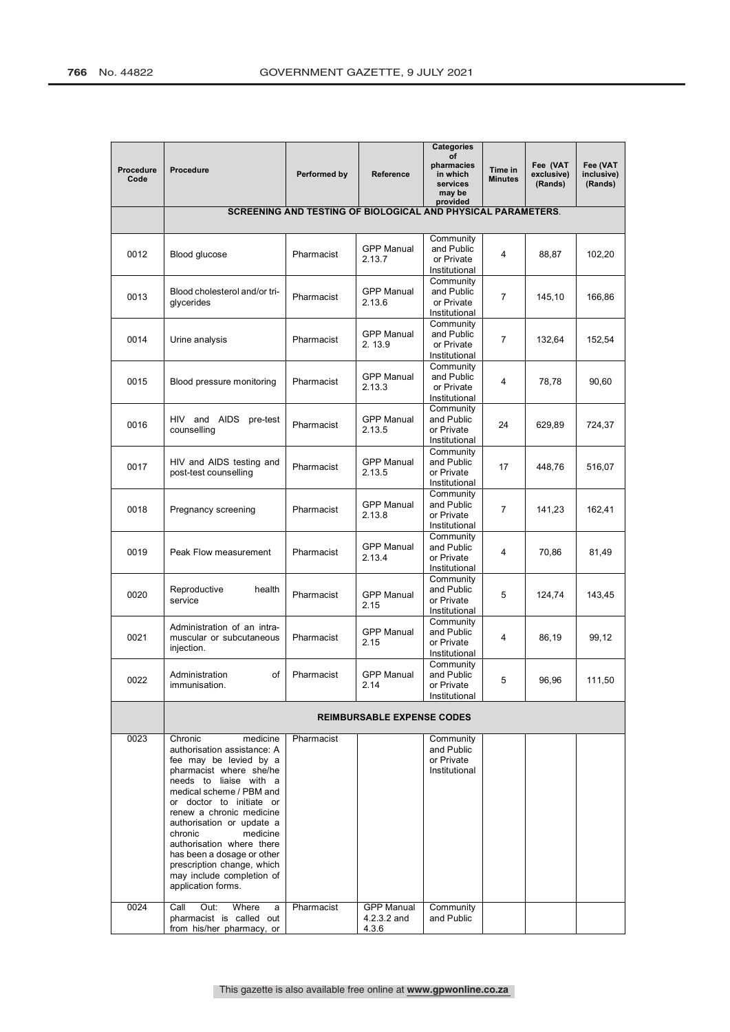|                   |                                                                                                                                                                                                                                                                                                                                                                                                                       |                                                              |                                           | <b>Categories</b><br>of                                  |                           |                                   |                                   |
|-------------------|-----------------------------------------------------------------------------------------------------------------------------------------------------------------------------------------------------------------------------------------------------------------------------------------------------------------------------------------------------------------------------------------------------------------------|--------------------------------------------------------------|-------------------------------------------|----------------------------------------------------------|---------------------------|-----------------------------------|-----------------------------------|
| Procedure<br>Code | Procedure                                                                                                                                                                                                                                                                                                                                                                                                             | Performed by                                                 | Reference                                 | pharmacies<br>in which<br>services<br>may be<br>provided | Time in<br><b>Minutes</b> | Fee (VAT<br>exclusive)<br>(Rands) | Fee (VAT<br>inclusive)<br>(Rands) |
|                   |                                                                                                                                                                                                                                                                                                                                                                                                                       | SCREENING AND TESTING OF BIOLOGICAL AND PHYSICAL PARAMETERS. |                                           |                                                          |                           |                                   |                                   |
|                   |                                                                                                                                                                                                                                                                                                                                                                                                                       |                                                              |                                           |                                                          |                           |                                   |                                   |
| 0012              | Blood glucose                                                                                                                                                                                                                                                                                                                                                                                                         | Pharmacist                                                   | <b>GPP Manual</b><br>2.13.7               | Community<br>and Public<br>or Private<br>Institutional   | 4                         | 88,87                             | 102,20                            |
| 0013              | Blood cholesterol and/or tri-<br>glycerides                                                                                                                                                                                                                                                                                                                                                                           | Pharmacist                                                   | <b>GPP Manual</b><br>2.13.6               | Community<br>and Public<br>or Private<br>Institutional   | 7                         | 145,10                            | 166,86                            |
| 0014              | Urine analysis                                                                                                                                                                                                                                                                                                                                                                                                        | Pharmacist                                                   | <b>GPP Manual</b><br>2.13.9               | Community<br>and Public<br>or Private<br>Institutional   | 7                         | 132,64                            | 152,54                            |
| 0015              | Blood pressure monitoring                                                                                                                                                                                                                                                                                                                                                                                             | Pharmacist                                                   | <b>GPP Manual</b><br>2.13.3               | Community<br>and Public<br>or Private<br>Institutional   | 4                         | 78,78                             | 90,60                             |
| 0016              | HIV and AIDS pre-test<br>counselling                                                                                                                                                                                                                                                                                                                                                                                  | Pharmacist                                                   | <b>GPP Manual</b><br>2.13.5               | Community<br>and Public<br>or Private<br>Institutional   | 24                        | 629,89                            | 724,37                            |
| 0017              | HIV and AIDS testing and<br>post-test counselling                                                                                                                                                                                                                                                                                                                                                                     | Pharmacist                                                   | <b>GPP Manual</b><br>2.13.5               | Community<br>and Public<br>or Private<br>Institutional   | 17                        | 448,76                            | 516,07                            |
| 0018              | Pregnancy screening                                                                                                                                                                                                                                                                                                                                                                                                   | Pharmacist                                                   | <b>GPP Manual</b><br>2.13.8               | Community<br>and Public<br>or Private<br>Institutional   | 7                         | 141,23                            | 162,41                            |
| 0019              | Peak Flow measurement                                                                                                                                                                                                                                                                                                                                                                                                 | Pharmacist                                                   | <b>GPP Manual</b><br>2.13.4               | Community<br>and Public<br>or Private<br>Institutional   | 4                         | 70,86                             | 81,49                             |
| 0020              | health<br>Reproductive<br>service                                                                                                                                                                                                                                                                                                                                                                                     | Pharmacist                                                   | <b>GPP Manual</b><br>2.15                 | Community<br>and Public<br>or Private<br>Institutional   | 5                         | 124,74                            | 143,45                            |
| 0021              | Administration of an intra-<br>muscular or subcutaneous<br>injection.                                                                                                                                                                                                                                                                                                                                                 | Pharmacist                                                   | <b>GPP Manual</b><br>2.15                 | Community<br>and Public<br>or Private<br>Institutional   | 4                         | 86,19                             | 99,12                             |
| 0022              | Administration<br>of<br>immunisation.                                                                                                                                                                                                                                                                                                                                                                                 | Pharmacist                                                   | <b>GPP Manual</b><br>2.14                 | Community<br>and Public<br>or Private<br>Institutional   | 5                         | 96,96                             | 111,50                            |
|                   |                                                                                                                                                                                                                                                                                                                                                                                                                       |                                                              | <b>REIMBURSABLE EXPENSE CODES</b>         |                                                          |                           |                                   |                                   |
| 0023              | Chronic<br>medicine<br>authorisation assistance: A<br>fee may be levied by a<br>pharmacist where she/he<br>needs to liaise with a<br>medical scheme / PBM and<br>or doctor to initiate or<br>renew a chronic medicine<br>authorisation or update a<br>chronic<br>medicine<br>authorisation where there<br>has been a dosage or other<br>prescription change, which<br>may include completion of<br>application forms. | Pharmacist                                                   |                                           | Community<br>and Public<br>or Private<br>Institutional   |                           |                                   |                                   |
| 0024              | Call<br>Out:<br>Where<br>a<br>pharmacist is called out<br>from his/her pharmacy, or                                                                                                                                                                                                                                                                                                                                   | Pharmacist                                                   | <b>GPP Manual</b><br>4.2.3.2 and<br>4.3.6 | Community<br>and Public                                  |                           |                                   |                                   |